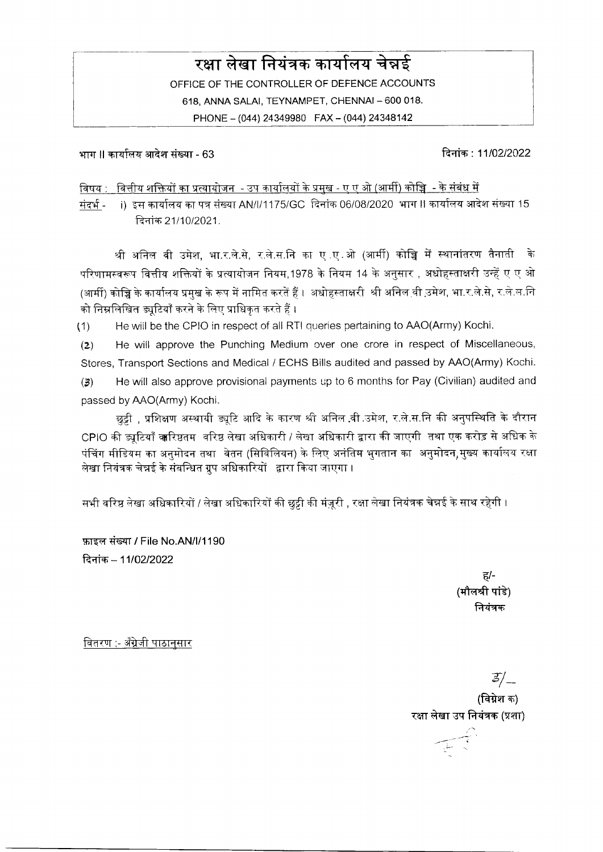# $\overline{\phantom{A}}$ रक्षा लेखा नियंत्रक कार्यालय चेन्नई

OFFICE OF THE CONTROLLER OF DEFENCE ACCOUNTS 618, ANNA SALAI, TEYNAMPET, CHENNAI - 600 018. PHONE - (044) 24349980 FAX - (044) 24348142

भाग II कार्यालय आदेश संख्या - 63 किलोमी कार्यालय करने के बाद कर बाद करने के बाद करने के बाद कर से संस्था कर सं

<u>विषय : वित्तीय शक्तियों का प्रत्यायोजन - उप कार्यालयों के प्रमुख - ए ए ओ (आर्मी) कोच्चि - के संबंध में</u>

संदर्भ - i) इस कार्यालय का पत्र संख्या AN/l/1175/GC दिनांक 06/08/2020 भाग II कार्यालय आदेश संख्या 15 दिनांक 21/10/2021.

श्री अनिल वी उमेश, भा.र.ले.से, र.ले.स.नि का ए ए.ओ (आर्मी) कोच्चि में स्थानांतरण तैनाती के परिणामस्वरूप वित्तीय शक्तियों के प्रत्यायोजन नियम,1978 के नियम 14 के अनुसार , अधोहस्ताक्षरी उन्हें ए ए ओ (आर्मी) कोच्चि के कार्यालय प्रमुख के रूप में नामित करतें हैं । अधोहस्ताक्षरी श्री अनिल वी उ़मेश, भा.र.ले.से, र.ले.स.नि को निम्नलिखित ड्युटियाँ करने के लिए प्राधिकृत करते हैं ।

(1) He will be the CPIO in respect of all RTI queries peftaining to AAO(Army) Kochi.

(g) He will approve the Punching Medium over one crore in respect of Miscellaneous, Stores, Transport Sections and Medical / ECHS Bills audited and passed by AAO(Army) Kochi.

(3) He will also approve provisional payments up to 6 months for Pay (Civilian) audited and passed by AAO(Army) Kochi.

छुट्टी , प्रशिक्षण अस्थायी ड्यूटि आदि के कारण श्री अनिल वी उमेश, र.ले.स.नि की अनुपस्थिति के दौरान CPIO की ड्यूटियाँ वारिष्ठतम वरिष्ठ लेखा अधिकारी / लेखा अधिकारी द्वारा की जाएगी तथा एक करोड़ से अधिक के पंचिंग मीडियम का अनुमोदन तथा वेतन (सिविलियन) के लिए अनंतिम भुगतान का अनुमोदन,मुख्य कार्यालय रक्षा लेखा नियंत्रक चेन्नई के संबन्धित ग्रुप अधिकारियों द्वारा किया जाएगा।

सभी वरिष्ठ लेखा अधिकारियों / लेखा अधिकारियों की छुट्टी की मंज़ूरी , रक्षा लेखा नियंत्रक चेन्नई के साथ रहेगी ।

फ़ाइल संख्या / File No.AN/I/1190 दिनांक - 11/02/2022

> E/- (मौलश्री पांडे) नियंत्रक

वितरण :- अँग्रेजी पाठानसार

 $\frac{1}{2}$ 

(विग्नेश क) रक्षा लेखा उप नियंत्रक (प्रशा)